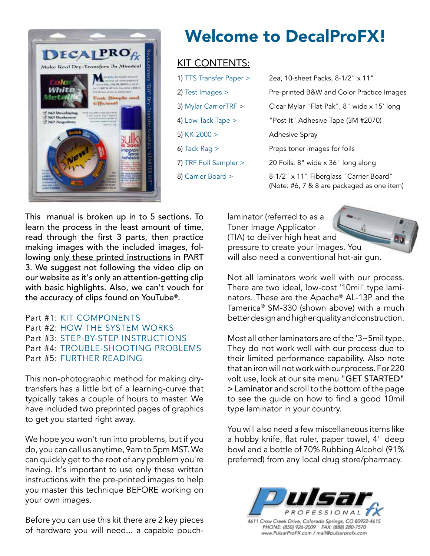

# Welcome to DecalProFX!

## KIT CONTENTS:

| 1) TTS Transfer Paper > | 2ea, 10-sheet Packs, 8-1/2" x 11"                                                     |
|-------------------------|---------------------------------------------------------------------------------------|
| 2) Test Images $>$      | Pre-printed B&W and Color Practice Images                                             |
| 3) Mylar CarrierTRF >   | Clear Mylar "Flat-Pak", 8" wide x 15' long                                            |
| 4) Low Tack Tape >      | "Post-It" Adhesive Tape (3M #2070)                                                    |
| 5) $KK-2000 >$          | <b>Adhesive Spray</b>                                                                 |
| 6) Tack Rag $>$         | Preps toner images for foils                                                          |
| 7) TRF Foil Sampler >   | 20 Foils: 8" wide x 36" long along                                                    |
| 8) Carrier Board >      | 8-1/2" x 11" Fiberglass "Carrier Board"<br>(Note: #6, 7 & 8 are packaged as one item) |

This manual is broken up in to 5 sections. To learn the process in the least amount of time, read through the first 3 parts, then practice making images with the included images, following only these printed instructions in PART 3. We suggest not following the video clip on our website as it's only an attention-getting clip with basic highlights. Also, we can't vouch for the accuracy of clips found on YouTube®.

### Part #1: KIT COMPONENTS Part #2: HOW THE SYSTEM WORKS Part #3: STEP-BY-STEP INSTRUCTIONS Part #4: TROUBLE-SHOOTING PROBLEMS Part #5: FURTHER READING

This non-photographic method for making drytransfers has a little bit of a learning-curve that typically takes a couple of hours to master. We have included two preprinted pages of graphics to get you started right away.

We hope you won't run into problems, but if you do, you can call us anytime, 9am to 5pm MST. We can quickly get to the root of any problem you're having. It's important to use only these written instructions with the pre-printed images to help you master this technique BEFORE working on your own images.

Before you can use this kit there are 2 key pieces of hardware you will need... a capable pouchlaminator (referred to as a Toner Image Applicator (TIA) to deliver high heat and pressure to create your images. You will also need a conventional hot-air gun.

Not all laminators work well with our process. There are two ideal, low-cost '10mil' type laminators. These are the Apache® AL-13P and the Tamerica® SM-330 (shown above) with a much better design and higher quality and construction.

Most all other laminators are of the '3~5mil type. They do not work well with our process due to their limited performance capability. Also note that an iron will not work with our process. For 220 volt use, look at our site menu "GET STARTED" > Laminator and scroll to the bottom of the page to see the guide on how to find a good 10mil type laminator in your country.

You will also need a few miscellaneous items like a hobby knife, flat ruler, paper towel, 4" deep bowl and a bottle of 70% Rubbing Alcohol (91% preferred) from any local drug store/pharmacy.



4611 Crow Creek Drive, Colorado Springs, CO 80922-4615 PHONE: (850) 926-2009 FAX: (888) 280-7570<br>Www.PulsarProFX.com / mail@pulsarprofx.com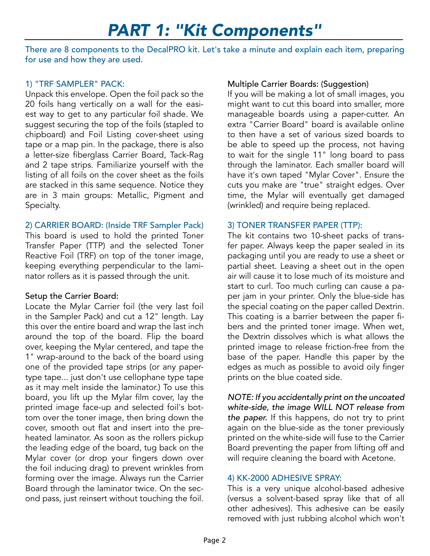## *PART 1: "Kit Components"*

There are 8 components to the DecalPRO kit. Let's take a minute and explain each item, preparing for use and how they are used.

#### 1) "TRF SAMPLER" PACK:

Unpack this envelope. Open the foil pack so the 20 foils hang vertically on a wall for the easiest way to get to any particular foil shade. We suggest securing the top of the foils (stapled to chipboard) and Foil Listing cover-sheet using tape or a map pin. In the package, there is also a letter-size fiberglass Carrier Board, Tack-Rag and 2 tape strips. Familiarize yourself with the listing of all foils on the cover sheet as the foils are stacked in this same sequence. Notice they are in 3 main groups: Metallic, Pigment and Specialty.

## 2) CARRIER BOARD: (Inside TRF Sampler Pack)

This board is used to hold the printed Toner Transfer Paper (TTP) and the selected Toner Reactive Foil (TRF) on top of the toner image, keeping everything perpendicular to the laminator rollers as it is passed through the unit.

#### Setup the Carrier Board:

Locate the Mylar Carrier foil (the very last foil in the Sampler Pack) and cut a 12" length. Lay this over the entire board and wrap the last inch around the top of the board. Flip the board over, keeping the Mylar centered, and tape the 1" wrap-around to the back of the board using one of the provided tape strips (or any papertype tape... just don't use cellophane type tape as it may melt inside the laminator.) To use this board, you lift up the Mylar film cover, lay the printed image face-up and selected foil's bottom over the toner image, then bring down the cover, smooth out flat and insert into the preheated laminator. As soon as the rollers pickup the leading edge of the board, tug back on the Mylar cover (or drop your fingers down over the foil inducing drag) to prevent wrinkles from forming over the image. Always run the Carrier Board through the laminator twice. On the second pass, just reinsert without touching the foil.

## Multiple Carrier Boards: (Suggestion)

If you will be making a lot of small images, you might want to cut this board into smaller, more manageable boards using a paper-cutter. An extra "Carrier Board" board is available online to then have a set of various sized boards to be able to speed up the process, not having to wait for the single 11" long board to pass through the laminator. Each smaller board will have it's own taped "Mylar Cover". Ensure the cuts you make are "true" straight edges. Over time, the Mylar will eventually get damaged (wrinkled) and require being replaced.

### 3) TONER TRANSFER PAPER (TTP):

The kit contains two 10-sheet packs of transfer paper. Always keep the paper sealed in its packaging until you are ready to use a sheet or partial sheet. Leaving a sheet out in the open air will cause it to lose much of its moisture and start to curl. Too much curling can cause a paper jam in your printer. Only the blue-side has the special coating on the paper called Dextrin. This coating is a barrier between the paper fibers and the printed toner image. When wet, the Dextrin dissolves which is what allows the printed image to release friction-free from the base of the paper. Handle this paper by the edges as much as possible to avoid oily finger prints on the blue coated side.

*NOTE: If you accidentally print on the uncoated white-side, the image WILL NOT release from the paper.* If this happens, do not try to print again on the blue-side as the toner previously printed on the white-side will fuse to the Carrier Board preventing the paper from lifting off and will require cleaning the board with Acetone.

## 4) KK-2000 ADHESIVE SPRAY:

This is a very unique alcohol-based adhesive (versus a solvent-based spray like that of all other adhesives). This adhesive can be easily removed with just rubbing alcohol which won't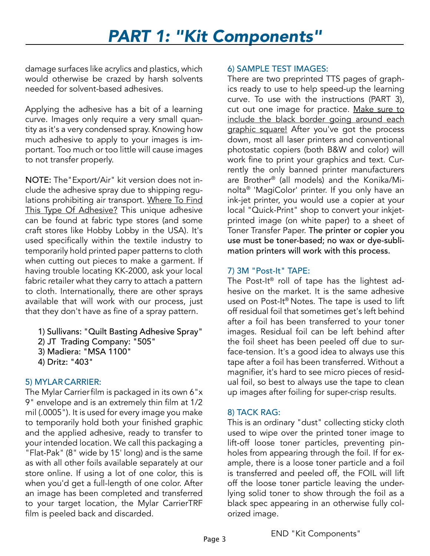# *PART 1: "Kit Components"*

damage surfaces like acrylics and plastics, which would otherwise be crazed by harsh solvents needed for solvent-based adhesives.

Applying the adhesive has a bit of a learning curve. Images only require a very small quantity as it's a very condensed spray. Knowing how much adhesive to apply to your images is important. Too much or too little will cause images to not transfer properly.

NOTE: The"Export/Air" kit version does not include the adhesive spray due to shipping regulations prohibiting air transport. Where To Find This Type Of Adhesive? This unique adhesive can be found at fabric type stores (and some craft stores like Hobby Lobby in the USA). It's used specifically within the textile industry to temporarily hold printed paper patterns to cloth when cutting out pieces to make a garment. If having trouble locating KK-2000, ask your local fabric retailer what they carry to attach a pattern to cloth. Internationally, there are other sprays available that will work with our process, just that they don't have as fine of a spray pattern.

- 1) Sullivans: "Quilt Basting Adhesive Spray"
- 2) JT Trading Company: "505"
- 3) Madiera: "MSA 1100"
- 4) Dritz: "403"

## 5) MYLAR CARRIER:

The Mylar Carrierfilm is packaged in its own 6"x 9" envelope and is an extremely thin film at 1/2 mil (.0005"). It is used for every image you make to temporarily hold both your finished graphic and the applied adhesive, ready to transfer to your intended location. We call this packaging a "Flat-Pak" (8" wide by 15' long) and is the same as with all other foils available separately at our store online. If using a lot of one color, this is when you'd get a full-length of one color. After an image has been completed and transferred to your target location, the Mylar CarrierTRF film is peeled back and discarded.

## 6) SAMPLE TEST IMAGES:

There are two preprinted TTS pages of graphics ready to use to help speed-up the learning curve. To use with the instructions (PART 3), cut out one image for practice. Make sure to include the black border going around each graphic square! After you've got the process down, most all laser printers and conventional photostatic copiers (both B&W and color) will work fine to print your graphics and text. Currently the only banned printer manufacturers are Brother® (all models) and the Konika/Minolta® 'MagiColor' printer. If you only have an ink-jet printer, you would use a copier at your local "Quick-Print" shop to convert your inkjetprinted image (on white paper) to a sheet of Toner Transfer Paper. The printer or copier you use must be toner-based; no wax or dye-sublimation printers will work with this process.

## 7) 3M "Post-It" TAPE:

The Post-It® roll of tape has the lightest adhesive on the market. It is the same adhesive used on Post-It® Notes. The tape is used to lift off residual foil that sometimes get's left behind after a foil has been transferred to your toner images. Residual foil can be left behind after the foil sheet has been peeled off due to surface-tension. It's a good idea to always use this tape after a foil has been transferred. Without a magnifier, it's hard to see micro pieces of residual foil, so best to always use the tape to clean up images after foiling for super-crisp results.

## 8) TACK RAG:

This is an ordinary "dust" collecting sticky cloth used to wipe over the printed toner image to lift-off loose toner particles, preventing pinholes from appearing through the foil. If for example, there is a loose toner particle and a foil is transferred and peeled off, the FOIL will lift off the loose toner particle leaving the underlying solid toner to show through the foil as a black spec appearing in an otherwise fully colorized image.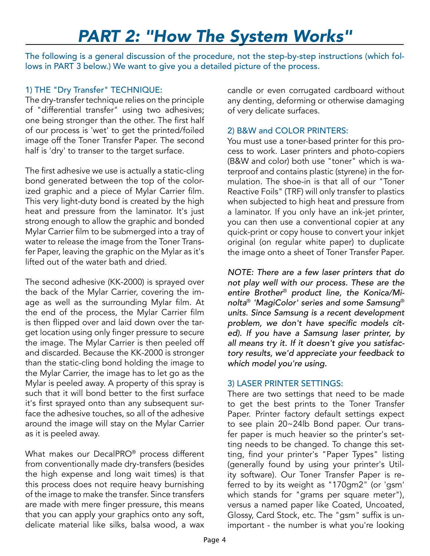The following is a general discussion of the procedure, not the step-by-step instructions (which follows in PART 3 below.) We want to give you a detailed picture of the process.

## 1) THE "Dry Transfer" TECHNIQUE:

The dry-transfer technique relies on the principle of "differential transfer" using two adhesives; one being stronger than the other. The first half of our process is 'wet' to get the printed/foiled image off the Toner Transfer Paper. The second half is 'dry' to transer to the target surface.

The first adhesive we use is actually a static-cling bond generated between the top of the colorized graphic and a piece of Mylar Carrier film. This very light-duty bond is created by the high heat and pressure from the laminator. It's just strong enough to allow the graphic and bonded Mylar Carrier film to be submerged into a tray of water to release the image from the Toner Transfer Paper, leaving the graphic on the Mylar as it's lifted out of the water bath and dried.

The second adhesive (KK-2000) is sprayed over the back of the Mylar Carrier, covering the image as well as the surrounding Mylar film. At the end of the process, the Mylar Carrier film is then flipped over and laid down over the target location using only finger pressure to secure the image. The Mylar Carrier is then peeled off and discarded. Because the KK-2000 is stronger than the static-cling bond holding the image to the Mylar Carrier, the image has to let go as the Mylar is peeled away. A property of this spray is such that it will bond better to the first surface it's first sprayed onto than any subsequent surface the adhesive touches, so all of the adhesive around the image will stay on the Mylar Carrier as it is peeled away.

What makes our DecalPRO® process different from conventionally made dry-transfers (besides the high expense and long wait times) is that this process does not require heavy burnishing of the image to make the transfer. Since transfers are made with mere finger pressure, this means that you can apply your graphics onto any soft, delicate material like silks, balsa wood, a wax

candle or even corrugated cardboard without any denting, deforming or otherwise damaging of very delicate surfaces.

### 2) B&W and COLOR PRINTERS:

You must use a toner-based printer for this process to work. Laser printers and photo-copiers (B&W and color) both use "toner" which is waterproof and contains plastic (styrene) in the formulation. The shoe-in is that all of our "Toner Reactive Foils" (TRF) will only transfer to plastics when subjected to high heat and pressure from a laminator. If you only have an ink-jet printer, you can then use a conventional copier at any quick-print or copy house to convert your inkjet original (on regular white paper) to duplicate the image onto a sheet of Toner Transfer Paper.

*NOTE: There are a few laser printers that do not play well with our process. These are the entire Brother*® *product line, the Konica/Minolta*® *'MagiColor' series and some Samsung*® *units. Since Samsung is a recent development*  problem, we don't have specific models cit*ed). If you have a Samsung laser printer, by all means try it. If it doesn't give you satisfactory results, we'd appreciate your feedback to which model you're using.*

#### 3) LASER PRINTER SETTINGS:

There are two settings that need to be made to get the best prints to the Toner Transfer Paper. Printer factory default settings expect to see plain 20~24lb Bond paper. Our transfer paper is much heavier so the printer's setting needs to be changed. To change this setting, find your printer's "Paper Types" listing (generally found by using your printer's Utility software). Our Toner Transfer Paper is referred to by its weight as "170gm2" (or 'gsm' which stands for "grams per square meter"), versus a named paper like Coated, Uncoated, Glossy, Card Stock, etc. The "gsm" suffix is unimportant - the number is what you're looking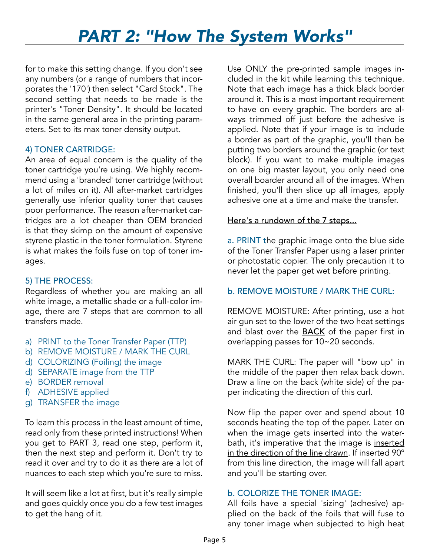for to make this setting change. If you don't see any numbers (or a range of numbers that incorporates the '170') then select "Card Stock". The second setting that needs to be made is the printer's "Toner Density". It should be located in the same general area in the printing parameters. Set to its max toner density output.

#### 4) TONER CARTRIDGE:

An area of equal concern is the quality of the toner cartridge you're using. We highly recommend using a 'branded' toner cartridge (without a lot of miles on it). All after-market cartridges generally use inferior quality toner that causes poor performance. The reason after-market cartridges are a lot cheaper than OEM branded is that they skimp on the amount of expensive styrene plastic in the toner formulation. Styrene is what makes the foils fuse on top of toner images.

## 5) THE PROCESS:

Regardless of whether you are making an all white image, a metallic shade or a full-color image, there are 7 steps that are common to all transfers made.

- a) PRINT to the Toner Transfer Paper (TTP)
- b) REMOVE MOISTURE / MARK THE CURL
- d) COLORIZING (Foiling) the image
- d) SEPARATE image from the TTP
- e) BORDER removal
- f) ADHESIVE applied
- g) TRANSFER the image

To learn this process in the least amount of time, read only from these printed instructions! When you get to PART 3, read one step, perform it, then the next step and perform it. Don't try to read it over and try to do it as there are a lot of nuances to each step which you're sure to miss.

It will seem like a lot at first, but it's really simple and goes quickly once you do a few test images to get the hang of it.

Use ONLY the pre-printed sample images included in the kit while learning this technique. Note that each image has a thick black border around it. This is a most important requirement to have on every graphic. The borders are always trimmed off just before the adhesive is applied. Note that if your image is to include a border as part of the graphic, you'll then be putting two borders around the graphic (or text block). If you want to make multiple images on one big master layout, you only need one overall boarder around all of the images. When finished, you'll then slice up all images, apply adhesive one at a time and make the transfer.

### Here's a rundown of the 7 steps...

a. PRINT the graphic image onto the blue side of the Toner Transfer Paper using a laser printer or photostatic copier. The only precaution it to never let the paper get wet before printing.

## b. REMOVE MOISTURE / MARK THE CURL:

REMOVE MOISTURE: After printing, use a hot air gun set to the lower of the two heat settings and blast over the **BACK** of the paper first in overlapping passes for 10~20 seconds.

MARK THE CURL: The paper will "bow up" in the middle of the paper then relax back down. Draw a line on the back (white side) of the paper indicating the direction of this curl.

Now flip the paper over and spend about 10 seconds heating the top of the paper. Later on when the image gets inserted into the waterbath, it's imperative that the image is inserted in the direction of the line drawn. If inserted 90º from this line direction, the image will fall apart and you'll be starting over.

## b. COLORIZE THE TONER IMAGE:

All foils have a special 'sizing' (adhesive) applied on the back of the foils that will fuse to any toner image when subjected to high heat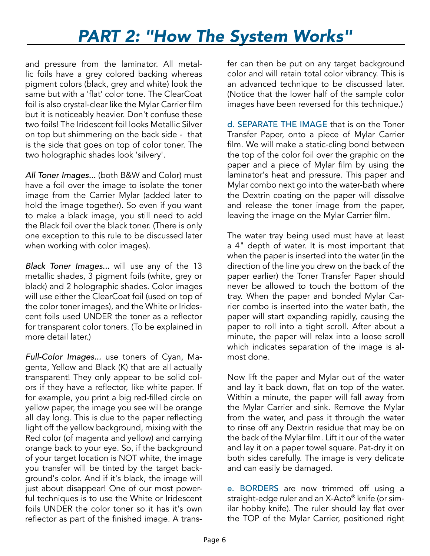and pressure from the laminator. All metallic foils have a grey colored backing whereas pigment colors (black, grey and white) look the same but with a 'flat' color tone. The ClearCoat foil is also crystal-clear like the Mylar Carrier film but it is noticeably heavier. Don't confuse these two foils! The Iridescent foil looks Metallic Silver on top but shimmering on the back side - that is the side that goes on top of color toner. The two holographic shades look 'silvery'.

*All Toner Images...* (both B&W and Color) must have a foil over the image to isolate the toner image from the Carrier Mylar (added later to hold the image together). So even if you want to make a black image, you still need to add the Black foil over the black toner. (There is only one exception to this rule to be discussed later when working with color images).

*Black Toner Images...* will use any of the 13 metallic shades, 3 pigment foils (white, grey or black) and 2 holographic shades. Color images will use either the ClearCoat foil (used on top of the color toner images), and the White or Iridescent foils used UNDER the toner as a reflector for transparent color toners. (To be explained in more detail later.)

*Full-Color Images...* use toners of Cyan, Magenta, Yellow and Black (K) that are all actually transparent! They only appear to be solid colors if they have a reflector, like white paper. If for example, you print a big red-filled circle on yellow paper, the image you see will be orange all day long. This is due to the paper reflecting light off the yellow background, mixing with the Red color (of magenta and yellow) and carrying orange back to your eye. So, if the background of your target location is NOT white, the image you transfer will be tinted by the target background's color. And if it's black, the image will just about disappear! One of our most powerful techniques is to use the White or Iridescent foils UNDER the color toner so it has it's own reflector as part of the finished image. A transfer can then be put on any target background color and will retain total color vibrancy. This is an advanced technique to be discussed later. (Notice that the lower half of the sample color images have been reversed for this technique.)

d. SEPARATE THE IMAGE that is on the Toner Transfer Paper, onto a piece of Mylar Carrier film. We will make a static-cling bond between the top of the color foil over the graphic on the paper and a piece of Mylar film by using the laminator's heat and pressure. This paper and Mylar combo next go into the water-bath where the Dextrin coating on the paper will dissolve and release the toner image from the paper, leaving the image on the Mylar Carrier film.

The water tray being used must have at least a 4" depth of water. It is most important that when the paper is inserted into the water (in the direction of the line you drew on the back of the paper earlier) the Toner Transfer Paper should never be allowed to touch the bottom of the tray. When the paper and bonded Mylar Carrier combo is inserted into the water bath, the paper will start expanding rapidly, causing the paper to roll into a tight scroll. After about a minute, the paper will relax into a loose scroll which indicates separation of the image is almost done.

Now lift the paper and Mylar out of the water and lay it back down, flat on top of the water. Within a minute, the paper will fall away from the Mylar Carrier and sink. Remove the Mylar from the water, and pass it through the water to rinse off any Dextrin residue that may be on the back of the Mylar film. Lift it our of the water and lay it on a paper towel square. Pat-dry it on both sides carefully. The image is very delicate and can easily be damaged.

e. BORDERS are now trimmed off using a straight-edge ruler and an X-Acto® knife (or similar hobby knife). The ruler should lay flat over the TOP of the Mylar Carrier, positioned right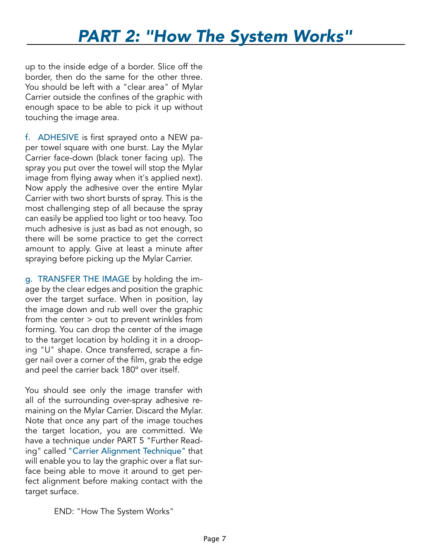up to the inside edge of a border. Slice off the border, then do the same for the other three. You should be left with a "clear area" of Mylar Carrier outside the confines of the graphic with enough space to be able to pick it up without touching the image area.

f. ADHESIVE is first sprayed onto a NEW paper towel square with one burst. Lay the Mylar Carrier face-down (black toner facing up). The spray you put over the towel will stop the Mylar image from flying away when it's applied next). Now apply the adhesive over the entire Mylar Carrier with two short bursts of spray. This is the most challenging step of all because the spray can easily be applied too light or too heavy. Too much adhesive is just as bad as not enough, so there will be some practice to get the correct amount to apply. Give at least a minute after spraying before picking up the Mylar Carrier.

g. TRANSFER THE IMAGE by holding the image by the clear edges and position the graphic over the target surface. When in position, lay the image down and rub well over the graphic from the center > out to prevent wrinkles from forming. You can drop the center of the image to the target location by holding it in a drooping "U" shape. Once transferred, scrape a finger nail over a corner of the film, grab the edge and peel the carrier back 180º over itself.

You should see only the image transfer with all of the surrounding over-spray adhesive remaining on the Mylar Carrier. Discard the Mylar. Note that once any part of the image touches the target location, you are committed. We have a technique under PART 5 "Further Reading" called "Carrier Alignment Technique" that will enable you to lay the graphic over a flat surface being able to move it around to get perfect alignment before making contact with the target surface.

END: "How The System Works"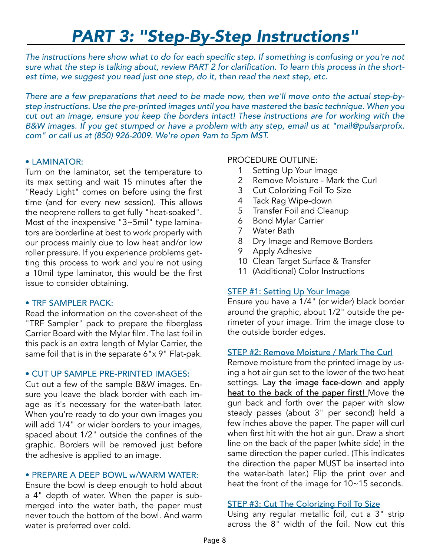The instructions here show what to do for each specific step. If something is confusing or you're not sure what the step is talking about, review PART 2 for clarification. To learn this process in the shortest time, we suggest you read just one step, do it, then read the next step, etc.

*There are a few preparations that need to be made now, then we'll move onto the actual step-bystep instructions. Use the pre-printed images until you have mastered the basic technique. When you cut out an image, ensure you keep the borders intact! These instructions are for working with the B&W images. If you get stumped or have a problem with any step, email us at "mail@pulsarprofx. com" or call us at (850) 926-2009. We're open 9am to 5pm MST.*

#### • LAMINATOR:

Turn on the laminator, set the temperature to its max setting and wait 15 minutes after the "Ready Light" comes on before using the first time (and for every new session). This allows the neoprene rollers to get fully "heat-soaked". Most of the inexpensive "3~5mil" type laminators are borderline at best to work properly with our process mainly due to low heat and/or low roller pressure. If you experience problems getting this process to work and you're not using a 10mil type laminator, this would be the first issue to consider obtaining.

#### • TRF SAMPLER PACK:

Read the information on the cover-sheet of the "TRF Sampler" pack to prepare the fiberglass Carrier Board with the Mylar film. The last foil in this pack is an extra length of Mylar Carrier, the same foil that is in the separate 6"x 9" Flat-pak.

#### • CUT UP SAMPLE PRE-PRINTED IMAGES:

Cut out a few of the sample B&W images. Ensure you leave the black border with each image as it's necessary for the water-bath later. When you're ready to do your own images you will add 1/4" or wider borders to your images, spaced about 1/2" outside the confines of the graphic. Borders will be removed just before the adhesive is applied to an image.

#### • PREPARE A DEEP BOWL w/WARM WATER:

Ensure the bowl is deep enough to hold about a 4" depth of water. When the paper is submerged into the water bath, the paper must never touch the bottom of the bowl. And warm water is preferred over cold.

#### PROCEDURE OUTLINE:

- 1 Setting Up Your Image
- 2 Remove Moisture Mark the Curl
- 3 Cut Colorizing Foil To Size
- 4 Tack Rag Wipe-down
- 5 Transfer Foil and Cleanup
- 6 Bond Mylar Carrier
- 7 Water Bath
- 8 Dry Image and Remove Borders
- 9 Apply Adhesive
- 10 Clean Target Surface & Transfer
- 11 (Additional) Color Instructions

## STEP #1: Setting Up Your Image

Ensure you have a 1/4" (or wider) black border around the graphic, about 1/2" outside the perimeter of your image. Trim the image close to the outside border edges.

#### STEP #2: Remove Moisture / Mark The Curl

Remove moisture from the printed image by using a hot air gun set to the lower of the two heat settings. Lay the image face-down and apply heat to the back of the paper first! Move the gun back and forth over the paper with slow steady passes (about 3" per second) held a few inches above the paper. The paper will curl when first hit with the hot air gun. Draw a short line on the back of the paper (white side) in the same direction the paper curled. (This indicates the direction the paper MUST be inserted into the water-bath later.) Flip the print over and heat the front of the image for 10~15 seconds.

#### STEP #3: Cut The Colorizing Foil To Size

Using any regular metallic foil, cut a 3" strip across the 8" width of the foil. Now cut this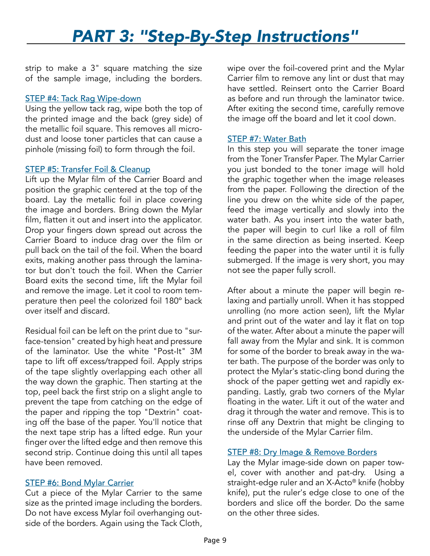strip to make a 3" square matching the size of the sample image, including the borders.

#### STEP #4: Tack Rag Wipe-down

Using the yellow tack rag, wipe both the top of the printed image and the back (grey side) of the metallic foil square. This removes all microdust and loose toner particles that can cause a pinhole (missing foil) to form through the foil.

#### STEP #5: Transfer Foil & Cleanup

Lift up the Mylar film of the Carrier Board and position the graphic centered at the top of the board. Lay the metallic foil in place covering the image and borders. Bring down the Mylar film, flatten it out and insert into the applicator. Drop your fingers down spread out across the Carrier Board to induce drag over the film or pull back on the tail of the foil. When the board exits, making another pass through the laminator but don't touch the foil. When the Carrier Board exits the second time, lift the Mylar foil and remove the image. Let it cool to room temperature then peel the colorized foil 180º back over itself and discard.

Residual foil can be left on the print due to "surface-tension" created by high heat and pressure of the laminator. Use the white "Post-It" 3M tape to lift off excess/trapped foil. Apply strips of the tape slightly overlapping each other all the way down the graphic. Then starting at the top, peel back the first strip on a slight angle to prevent the tape from catching on the edge of the paper and ripping the top "Dextrin" coating off the base of the paper. You'll notice that the next tape strip has a lifted edge. Run your finger over the lifted edge and then remove this second strip. Continue doing this until all tapes have been removed.

#### STEP #6: Bond Mylar Carrier

Cut a piece of the Mylar Carrier to the same size as the printed image including the borders. Do not have excess Mylar foil overhanging outside of the borders. Again using the Tack Cloth, wipe over the foil-covered print and the Mylar Carrier film to remove any lint or dust that may have settled. Reinsert onto the Carrier Board as before and run through the laminator twice. After exiting the second time, carefully remove the image off the board and let it cool down.

#### STEP #7: Water Bath

In this step you will separate the toner image from the Toner Transfer Paper. The Mylar Carrier you just bonded to the toner image will hold the graphic together when the image releases from the paper. Following the direction of the line you drew on the white side of the paper, feed the image vertically and slowly into the water bath. As you insert into the water bath, the paper will begin to curl like a roll of film in the same direction as being inserted. Keep feeding the paper into the water until it is fully submerged. If the image is very short, you may not see the paper fully scroll.

After about a minute the paper will begin relaxing and partially unroll. When it has stopped unrolling (no more action seen), lift the Mylar and print out of the water and lay it flat on top of the water. After about a minute the paper will fall away from the Mylar and sink. It is common for some of the border to break away in the water bath. The purpose of the border was only to protect the Mylar's static-cling bond during the shock of the paper getting wet and rapidly expanding. Lastly, grab two corners of the Mylar floating in the water. Lift it out of the water and drag it through the water and remove. This is to rinse off any Dextrin that might be clinging to the underside of the Mylar Carrier film.

#### STEP #8: Dry Image & Remove Borders

Lay the Mylar image-side down on paper towel, cover with another and pat-dry. Using a straight-edge ruler and an X-Acto® knife (hobby knife), put the ruler's edge close to one of the borders and slice off the border. Do the same on the other three sides.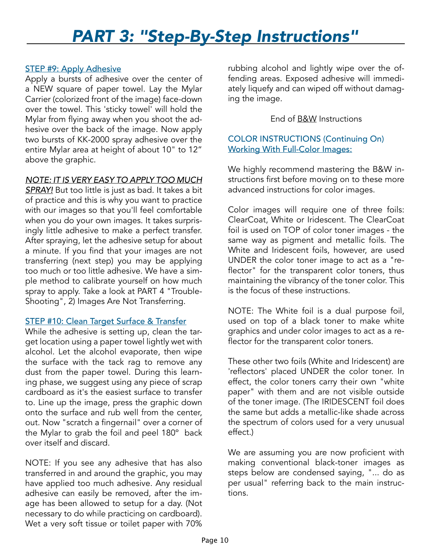#### STEP #9: Apply Adhesive

Apply a bursts of adhesive over the center of a NEW square of paper towel. Lay the Mylar Carrier (colorized front of the image) face-down over the towel. This 'sticky towel' will hold the Mylar from flying away when you shoot the adhesive over the back of the image. Now apply two bursts of KK-2000 spray adhesive over the entire Mylar area at height of about 10" to 12" above the graphic.

#### *NOTE: IT IS VERY EASY TO APPLY TOO MUCH*

*SPRAY!* But too little is just as bad. It takes a bit of practice and this is why you want to practice with our images so that you'll feel comfortable when you do your own images. It takes surprisingly little adhesive to make a perfect transfer. After spraying, let the adhesive setup for about a minute. If you find that your images are not transferring (next step) you may be applying too much or too little adhesive. We have a simple method to calibrate yourself on how much spray to apply. Take a look at PART 4 "Trouble-Shooting", 2) Images Are Not Transferring.

#### STEP #10: Clean Target Surface & Transfer

While the adhesive is setting up, clean the target location using a paper towel lightly wet with alcohol. Let the alcohol evaporate, then wipe the surface with the tack rag to remove any dust from the paper towel. During this learning phase, we suggest using any piece of scrap cardboard as it's the easiest surface to transfer to. Line up the image, press the graphic down onto the surface and rub well from the center, out. Now "scratch a fingernail" over a corner of the Mylar to grab the foil and peel 180º back over itself and discard.

NOTE: If you see any adhesive that has also transferred in and around the graphic, you may have applied too much adhesive. Any residual adhesive can easily be removed, after the image has been allowed to setup for a day. (Not necessary to do while practicing on cardboard). Wet a very soft tissue or toilet paper with 70%

rubbing alcohol and lightly wipe over the offending areas. Exposed adhesive will immediately liquefy and can wiped off without damaging the image.

#### End of B&W Instructions

### COLOR INSTRUCTIONS (Continuing On) Working With Full-Color Images:

We highly recommend mastering the B&W instructions first before moving on to these more advanced instructions for color images.

Color images will require one of three foils: ClearCoat, White or Iridescent. The ClearCoat foil is used on TOP of color toner images - the same way as pigment and metallic foils. The White and Iridescent foils, however, are used UNDER the color toner image to act as a "reflector" for the transparent color toners, thus maintaining the vibrancy of the toner color. This is the focus of these instructions.

NOTE: The White foil is a dual purpose foil, used on top of a black toner to make white graphics and under color images to act as a reflector for the transparent color toners.

These other two foils (White and Iridescent) are 'reflectors' placed UNDER the color toner. In effect, the color toners carry their own "white paper" with them and are not visible outside of the toner image. (The IRIDESCENT foil does the same but adds a metallic-like shade across the spectrum of colors used for a very unusual effect.)

We are assuming you are now proficient with making conventional black-toner images as steps below are condensed saying, "... do as per usual" referring back to the main instructions.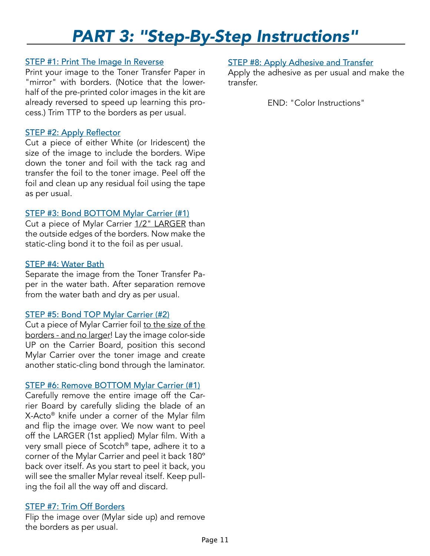#### STEP #1: Print The Image In Reverse

Print your image to the Toner Transfer Paper in "mirror" with borders. (Notice that the lowerhalf of the pre-printed color images in the kit are already reversed to speed up learning this process.) Trim TTP to the borders as per usual.

#### STEP #2: Apply Reflector

Cut a piece of either White (or Iridescent) the size of the image to include the borders. Wipe down the toner and foil with the tack rag and transfer the foil to the toner image. Peel off the foil and clean up any residual foil using the tape as per usual.

#### STEP #3: Bond BOTTOM Mylar Carrier (#1)

Cut a piece of Mylar Carrier 1/2" LARGER than the outside edges of the borders. Now make the static-cling bond it to the foil as per usual.

#### STEP #4: Water Bath

Separate the image from the Toner Transfer Paper in the water bath. After separation remove from the water bath and dry as per usual.

## STEP #5: Bond TOP Mylar Carrier (#2)

Cut a piece of Mylar Carrier foil to the size of the borders - and no larger! Lay the image color-side UP on the Carrier Board, position this second Mylar Carrier over the toner image and create another static-cling bond through the laminator.

#### STEP #6: Remove BOTTOM Mylar Carrier (#1)

Carefully remove the entire image off the Carrier Board by carefully sliding the blade of an X-Acto® knife under a corner of the Mylar film and flip the image over. We now want to peel off the LARGER (1st applied) Mylar film. With a very small piece of Scotch® tape, adhere it to a corner of the Mylar Carrier and peel it back 180º back over itself. As you start to peel it back, you will see the smaller Mylar reveal itself. Keep pulling the foil all the way off and discard.

#### STEP #7: Trim Off Borders

Flip the image over (Mylar side up) and remove the borders as per usual.

### STEP #8: Apply Adhesive and Transfer

Apply the adhesive as per usual and make the transfer.

END: "Color Instructions"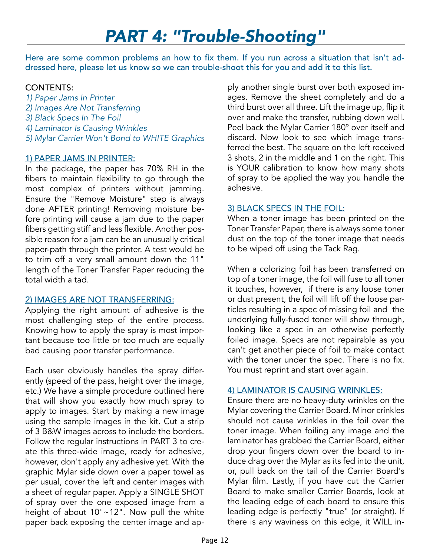# *PART 4: "Trouble-Shooting"*

Here are some common problems an how to fix them. If you run across a situation that isn't addressed here, please let us know so we can trouble-shoot this for you and add it to this list.

### CONTENTS:

- *1) Paper Jams In Printer*
- *2) Images Are Not Transferring*
- *3) Black Specs In The Foil*
- *4) Laminator Is Causing Wrinkles*
- *5) Mylar Carrier Won't Bond to WHITE Graphics*

## 1) PAPER JAMS IN PRINTER:

In the package, the paper has 70% RH in the fibers to maintain flexibility to go through the most complex of printers without jamming. Ensure the "Remove Moisture" step is always done AFTER printing! Removing moisture before printing will cause a jam due to the paper fibers getting stiff and less flexible. Another possible reason for a jam can be an unusually critical paper-path through the printer. A test would be to trim off a very small amount down the 11" length of the Toner Transfer Paper reducing the total width a tad.

## 2) IMAGES ARE NOT TRANSFERRING:

Applying the right amount of adhesive is the most challenging step of the entire process. Knowing how to apply the spray is most important because too little or too much are equally bad causing poor transfer performance.

Each user obviously handles the spray differently (speed of the pass, height over the image, etc.) We have a simple procedure outlined here that will show you exactly how much spray to apply to images. Start by making a new image using the sample images in the kit. Cut a strip of 3 B&W images across to include the borders. Follow the regular instructions in PART 3 to create this three-wide image, ready for adhesive, however, don't apply any adhesive yet. With the graphic Mylar side down over a paper towel as per usual, cover the left and center images with a sheet of regular paper. Apply a SINGLE SHOT of spray over the one exposed image from a height of about 10"~12". Now pull the white paper back exposing the center image and apply another single burst over both exposed images. Remove the sheet completely and do a third burst over all three. Lift the image up, flip it over and make the transfer, rubbing down well. Peel back the Mylar Carrier 180º over itself and discard. Now look to see which image transferred the best. The square on the left received 3 shots, 2 in the middle and 1 on the right. This is YOUR calibration to know how many shots of spray to be applied the way you handle the adhesive.

## 3) BLACK SPECS IN THE FOIL:

When a toner image has been printed on the Toner Transfer Paper, there is always some toner dust on the top of the toner image that needs to be wiped off using the Tack Rag.

When a colorizing foil has been transferred on top of a toner image, the foil will fuse to all toner it touches, however, if there is any loose toner or dust present, the foil will lift off the loose particles resulting in a spec of missing foil and the underlying fully-fused toner will show through, looking like a spec in an otherwise perfectly foiled image. Specs are not repairable as you can't get another piece of foil to make contact with the toner under the spec. There is no fix. You must reprint and start over again.

#### 4) LAMINATOR IS CAUSING WRINKLES:

Ensure there are no heavy-duty wrinkles on the Mylar covering the Carrier Board. Minor crinkles should not cause wrinkles in the foil over the toner image. When foiling any image and the laminator has grabbed the Carrier Board, either drop your fingers down over the board to induce drag over the Mylar as its fed into the unit, or, pull back on the tail of the Carrier Board's Mylar film. Lastly, if you have cut the Carrier Board to make smaller Carrier Boards, look at the leading edge of each board to ensure this leading edge is perfectly "true" (or straight). If there is any waviness on this edge, it WILL in-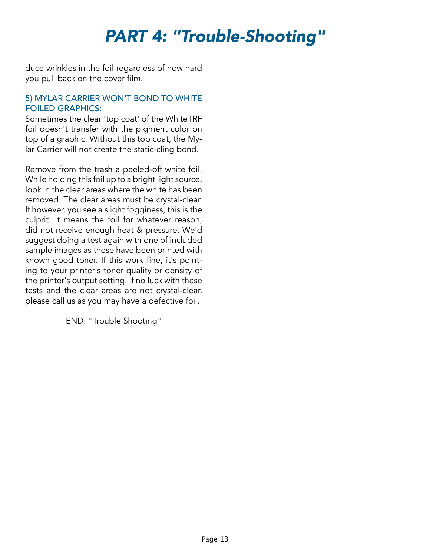# *PART 4: "Trouble-Shooting"*

duce wrinkles in the foil regardless of how hard you pull back on the cover film.

### 5) MYLAR CARRIER WON'T BOND TO WHITE FOILED GRAPHICS:

Sometimes the clear 'top coat' of the WhiteTRF foil doesn't transfer with the pigment color on top of a graphic. Without this top coat, the Mylar Carrier will not create the static-cling bond.

Remove from the trash a peeled-off white foil. While holding this foil up to a bright light source, look in the clear areas where the white has been removed. The clear areas must be crystal-clear. If however, you see a slight fogginess, this is the culprit. It means the foil for whatever reason, did not receive enough heat & pressure. We'd suggest doing a test again with one of included sample images as these have been printed with known good toner. If this work fine, it's pointing to your printer's toner quality or density of the printer's output setting. If no luck with these tests and the clear areas are not crystal-clear, please call us as you may have a defective foil.

END: "Trouble Shooting"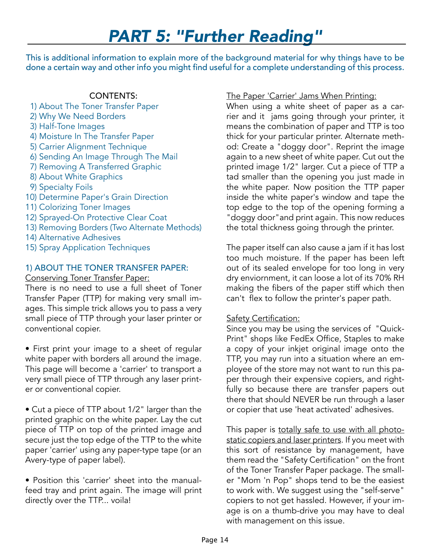This is additional information to explain more of the background material for why things have to be done a certain way and other info you might find useful for a complete understanding of this process.

#### CONTENTS:

 1) About The Toner Transfer Paper 2) Why We Need Borders 3) Half-Tone Images 4) Moisture In The Transfer Paper 5) Carrier Alignment Technique 6) Sending An Image Through The Mail 7) Removing A Transferred Graphic 8) About White Graphics 9) Specialty Foils 10) Determine Paper's Grain Direction 11) Colorizing Toner Images 12) Sprayed-On Protective Clear Coat 13) Removing Borders (Two Alternate Methods) 14) Alternative Adhesives 15) Spray Application Techniques

## 1) ABOUT THE TONER TRANSFER PAPER:

Conserving Toner Transfer Paper:

There is no need to use a full sheet of Toner Transfer Paper (TTP) for making very small images. This simple trick allows you to pass a very small piece of TTP through your laser printer or conventional copier.

• First print your image to a sheet of regular white paper with borders all around the image. This page will become a 'carrier' to transport a very small piece of TTP through any laser printer or conventional copier.

• Cut a piece of TTP about 1/2" larger than the printed graphic on the white paper. Lay the cut piece of TTP on top of the printed image and secure just the top edge of the TTP to the white paper 'carrier' using any paper-type tape (or an Avery-type of paper label).

• Position this 'carrier' sheet into the manualfeed tray and print again. The image will print directly over the TTP... voila!

## The Paper 'Carrier' Jams When Printing:

When using a white sheet of paper as a carrier and it jams going through your printer, it means the combination of paper and TTP is too thick for your particular printer. Alternate method: Create a "doggy door". Reprint the image again to a new sheet of white paper. Cut out the printed image 1/2" larger. Cut a piece of TTP a tad smaller than the opening you just made in the white paper. Now position the TTP paper inside the white paper's window and tape the top edge to the top of the opening forming a "doggy door"and print again. This now reduces the total thickness going through the printer.

The paper itself can also cause a jam if it has lost too much moisture. If the paper has been left out of its sealed envelope for too long in very dry enviornment, it can loose a lot of its 70% RH making the fibers of the paper stiff which then can't flex to follow the printer's paper path.

## **Safety Certification:**

Since you may be using the services of "Quick-Print" shops like FedEx Office, Staples to make a copy of your inkjet original image onto the TTP, you may run into a situation where an employee of the store may not want to run this paper through their expensive copiers, and rightfully so because there are transfer papers out there that should NEVER be run through a laser or copier that use 'heat activated' adhesives.

This paper is totally safe to use with all photostatic copiers and laser printers. If you meet with this sort of resistance by management, have them read the "Safety Certification" on the front of the Toner Transfer Paper package. The smaller "Mom 'n Pop" shops tend to be the easiest to work with. We suggest using the "self-serve" copiers to not get hassled. However, if your image is on a thumb-drive you may have to deal with management on this issue.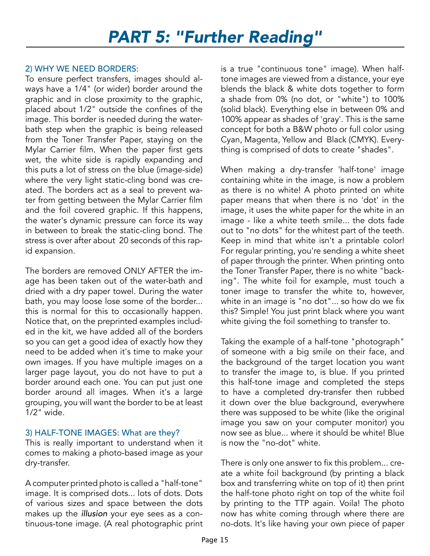## 2) WHY WE NEED BORDERS:

To ensure perfect transfers, images should always have a 1/4" (or wider) border around the graphic and in close proximity to the graphic, placed about 1/2" outside the confines of the image. This border is needed during the waterbath step when the graphic is being released from the Toner Transfer Paper, staying on the Mylar Carrier film. When the paper first gets wet, the white side is rapidly expanding and this puts a lot of stress on the blue (image-side) where the very light static-cling bond was created. The borders act as a seal to prevent water from getting between the Mylar Carrier film and the foil covered graphic. If this happens, the water's dynamic pressure can force its way in between to break the static-cling bond. The stress is over after about 20 seconds of this rapid expansion.

The borders are removed ONLY AFTER the image has been taken out of the water-bath and dried with a dry paper towel. During the water bath, you may loose lose some of the border... this is normal for this to occasionally happen. Notice that, on the preprinted examples included in the kit, we have added all of the borders so you can get a good idea of exactly how they need to be added when it's time to make your own images. If you have multiple images on a larger page layout, you do not have to put a border around each one. You can put just one border around all images. When it's a large grouping, you will want the border to be at least 1/2" wide.

## 3) HALF-TONE IMAGES: What are they?

This is really important to understand when it comes to making a photo-based image as your dry-transfer.

A computer printed photo is called a "half-tone" image. It is comprised dots... lots of dots. Dots of various sizes and space between the dots makes up the *illusion* your eye sees as a continuous-tone image. (A real photographic print

is a true "continuous tone" image). When halftone images are viewed from a distance, your eye blends the black & white dots together to form a shade from 0% (no dot, or "white") to 100% (solid black). Everything else in between 0% and 100% appear as shades of 'gray'. This is the same concept for both a B&W photo or full color using Cyan, Magenta, Yellow and Black (CMYK). Everything is comprised of dots to create "shades".

When making a dry-transfer 'half-tone' image containing white in the image, is now a problem as there is no white! A photo printed on white paper means that when there is no 'dot' in the image, it uses the white paper for the white in an image - like a white teeth smile... the dots fade out to "no dots" for the whitest part of the teeth. Keep in mind that white isn't a printable color! For regular printing, you're sending a white sheet of paper through the printer. When printing onto the Toner Transfer Paper, there is no white "backing". The white foil for example, must touch a toner image to transfer the white to, however, white in an image is "no dot"... so how do we fix this? Simple! You just print black where you want white giving the foil something to transfer to.

Taking the example of a half-tone "photograph" of someone with a big smile on their face, and the background of the target location you want to transfer the image to, is blue. If you printed this half-tone image and completed the steps to have a completed dry-transfer then rubbed it down over the blue background, everywhere there was supposed to be white (like the original image you saw on your computer monitor) you now see as blue... where it should be white! Blue is now the "no-dot" white.

There is only one answer to fix this problem... create a white foil background (by printing a black box and transferring white on top of it) then print the half-tone photo right on top of the white foil by printing to the TTP again. Voila! The photo now has white coming through where there are no-dots. It's like having your own piece of paper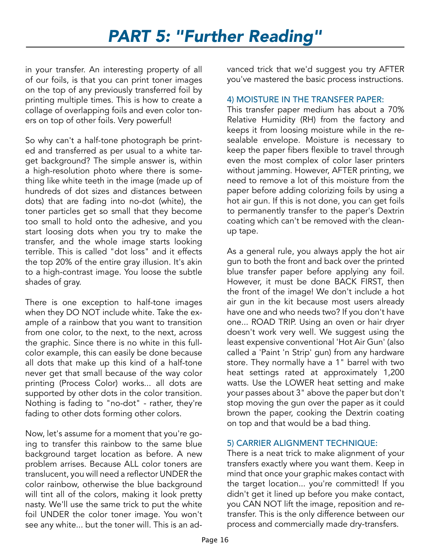in your transfer. An interesting property of all of our foils, is that you can print toner images on the top of any previously transferred foil by printing multiple times. This is how to create a collage of overlapping foils and even color toners on top of other foils. Very powerful!

So why can't a half-tone photograph be printed and transferred as per usual to a white target background? The simple answer is, within a high-resolution photo where there is something like white teeth in the image (made up of hundreds of dot sizes and distances between dots) that are fading into no-dot (white), the toner particles get so small that they become too small to hold onto the adhesive, and you start loosing dots when you try to make the transfer, and the whole image starts looking terrible. This is called "dot loss" and it effects the top 20% of the entire gray illusion. It's akin to a high-contrast image. You loose the subtle shades of gray.

There is one exception to half-tone images when they DO NOT include white. Take the example of a rainbow that you want to transition from one color, to the next, to the next, across the graphic. Since there is no white in this fullcolor example, this can easily be done because all dots that make up this kind of a half-tone never get that small because of the way color printing (Process Color) works... all dots are supported by other dots in the color transition. Nothing is fading to "no-dot" - rather, they're fading to other dots forming other colors.

Now, let's assume for a moment that you're going to transfer this rainbow to the same blue background target location as before. A new problem arrises. Because ALL color toners are translucent, you will need a reflector UNDER the color rainbow, otherwise the blue background will tint all of the colors, making it look pretty nasty. We'll use the same trick to put the white foil UNDER the color toner image. You won't see any white... but the toner will. This is an ad-

vanced trick that we'd suggest you try AFTER you've mastered the basic process instructions.

### 4) MOISTURE IN THE TRANSFER PAPER:

This transfer paper medium has about a 70% Relative Humidity (RH) from the factory and keeps it from loosing moisture while in the resealable envelope. Moisture is necessary to keep the paper fibers flexible to travel through even the most complex of color laser printers without jamming. However, AFTER printing, we need to remove a lot of this moisture from the paper before adding colorizing foils by using a hot air gun. If this is not done, you can get foils to permanently transfer to the paper's Dextrin coating which can't be removed with the cleanup tape.

As a general rule, you always apply the hot air gun to both the front and back over the printed blue transfer paper before applying any foil. However, it must be done BACK FIRST, then the front of the image! We don't include a hot air gun in the kit because most users already have one and who needs two? If you don't have one... ROAD TRIP. Using an oven or hair dryer doesn't work very well. We suggest using the least expensive conventional 'Hot Air Gun' (also called a 'Paint 'n Strip' gun) from any hardware store. They normally have a 1" barrel with two heat settings rated at approximately 1,200 watts. Use the LOWER heat setting and make your passes about 3" above the paper but don't stop moving the gun over the paper as it could brown the paper, cooking the Dextrin coating on top and that would be a bad thing.

## 5) CARRIER ALIGNMENT TECHNIQUE:

There is a neat trick to make alignment of your transfers exactly where you want them. Keep in mind that once your graphic makes contact with the target location... you're committed! If you didn't get it lined up before you make contact, you CAN NOT lift the image, reposition and retransfer. This is the only difference between our process and commercially made dry-transfers.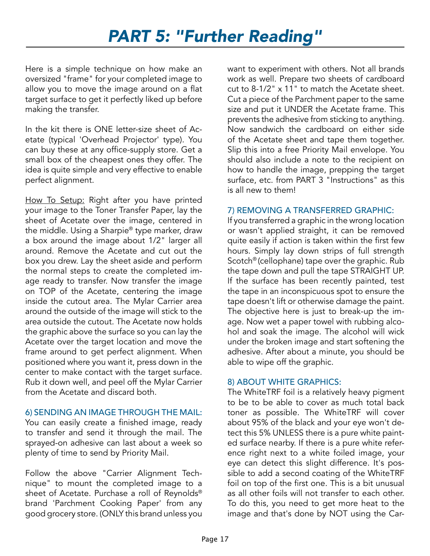Here is a simple technique on how make an oversized "frame" for your completed image to allow you to move the image around on a flat target surface to get it perfectly liked up before making the transfer.

In the kit there is ONE letter-size sheet of Acetate (typical 'Overhead Projector' type). You can buy these at any office-supply store. Get a small box of the cheapest ones they offer. The idea is quite simple and very effective to enable perfect alignment.

How To Setup: Right after you have printed your image to the Toner Transfer Paper, lay the sheet of Acetate over the image, centered in the middle. Using a Sharpie® type marker, draw a box around the image about 1/2" larger all around. Remove the Acetate and cut out the box you drew. Lay the sheet aside and perform the normal steps to create the completed image ready to transfer. Now transfer the image on TOP of the Acetate, centering the image inside the cutout area. The Mylar Carrier area around the outside of the image will stick to the area outside the cutout. The Acetate now holds the graphic above the surface so you can lay the Acetate over the target location and move the frame around to get perfect alignment. When positioned where you want it, press down in the center to make contact with the target surface. Rub it down well, and peel off the Mylar Carrier from the Acetate and discard both.

#### 6) SENDING AN IMAGE THROUGH THE MAIL:

You can easily create a finished image, ready to transfer and send it through the mail. The sprayed-on adhesive can last about a week so plenty of time to send by Priority Mail.

Follow the above "Carrier Alignment Technique" to mount the completed image to a sheet of Acetate. Purchase a roll of Reynolds® brand 'Parchment Cooking Paper' from any good grocery store. (ONLY this brand unless you

want to experiment with others. Not all brands work as well. Prepare two sheets of cardboard cut to 8-1/2" x 11" to match the Acetate sheet. Cut a piece of the Parchment paper to the same size and put it UNDER the Acetate frame. This prevents the adhesive from sticking to anything. Now sandwich the cardboard on either side of the Acetate sheet and tape them together. Slip this into a free Priority Mail envelope. You should also include a note to the recipient on how to handle the image, prepping the target surface, etc. from PART 3 "Instructions" as this is all new to them!

#### 7) REMOVING A TRANSFERRED GRAPHIC:

If you transferred a graphic in the wrong location or wasn't applied straight, it can be removed quite easily if action is taken within the first few hours. Simply lay down strips of full strength Scotch® (cellophane) tape over the graphic. Rub the tape down and pull the tape STRAIGHT UP. If the surface has been recently painted, test the tape in an inconspicuous spot to ensure the tape doesn't lift or otherwise damage the paint. The objective here is just to break-up the image. Now wet a paper towel with rubbing alcohol and soak the image. The alcohol will wick under the broken image and start softening the adhesive. After about a minute, you should be able to wipe off the graphic.

#### 8) ABOUT WHITE GRAPHICS:

The WhiteTRF foil is a relatively heavy pigment to be to be able to cover as much total back toner as possible. The WhiteTRF will cover about 95% of the black and your eye won't detect this 5% UNLESS there is a pure white painted surface nearby. If there is a pure white reference right next to a white foiled image, your eye can detect this slight difference. It's possible to add a second coating of the WhiteTRF foil on top of the first one. This is a bit unusual as all other foils will not transfer to each other. To do this, you need to get more heat to the image and that's done by NOT using the Car-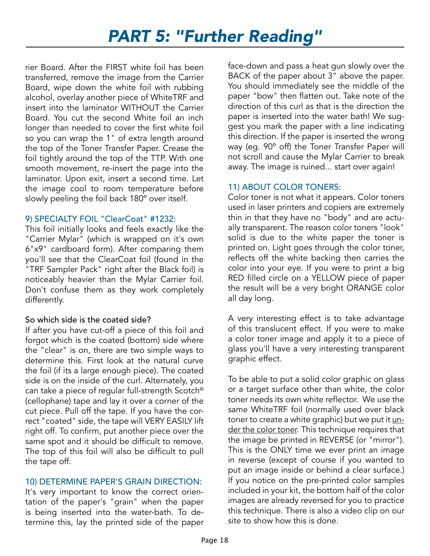rier Board. After the FIRST white foil has been transferred, remove the image from the Carrier Board, wipe down the white foil with rubbing alcohol, overlay another piece of WhiteTRF and insert into the laminator WITHOUT the Carrier Board. You cut the second White foil an inch longer than needed to cover the first white foil so you can wrap the 1" of extra length around the top of the Toner Transfer Paper. Crease the foil tightly around the top of the TTP. With one smooth movement, re-insert the page into the laminator. Upon exit, insert a second time. Let the image cool to room temperature before slowly peeling the foil back 180º over itself.

#### 9) SPECIALTY FOIL "ClearCoat" #1232:

This foil initially looks and feels exactly like the "Carrier Mylar" (which is wrapped on it's own 6"x9" cardboard form). After comparing them you'll see that the ClearCoat foil (found in the "TRF Sampler Pack" right after the Black foil) is noticeably heavier than the Mylar Carrier foil. Don't confuse them as they work completely differently.

## So which side is the coated side?

If after you have cut-off a piece of this foil and forgot which is the coated (bottom) side where the "clear" is on, there are two simple ways to determine this. First look at the natural curve the foil (if its a large enough piece). The coated side is on the inside of the curl. Alternately, you can take a piece of regular full-strength Scotch® (cellophane) tape and lay it over a corner of the cut piece. Pull off the tape. If you have the correct "coated" side, the tape will VERY EASILY lift right off. To confirm, put another piece over the same spot and it should be difficult to remove. The top of this foil will also be difficult to pull the tape off.

## 10) DETERMINE PAPER'S GRAIN DIRECTION:

It's very important to know the correct orientation of the paper's "grain" when the paper is being inserted into the water-bath. To determine this, lay the printed side of the paper face-down and pass a heat gun slowly over the BACK of the paper about 3" above the paper. You should immediately see the middle of the paper "bow" then flatten out. Take note of the direction of this curl as that is the direction the paper is inserted into the water bath! We suggest you mark the paper with a line indicating this direction. If the paper is inserted the wrong way (eg. 90º off) the Toner Transfer Paper will not scroll and cause the Mylar Carrier to break away. The image is ruined... start over again!

## 11) ABOUT COLOR TONERS:

Color toner is not what it appears. Color toners used in laser printers and copiers are extremely thin in that they have no "body" and are actually transparent. The reason color toners "look" solid is due to the white paper the toner is printed on. Light goes through the color toner, reflects off the white backing then carries the color into your eye. If you were to print a big RED filled circle on a YELLOW piece of paper the result will be a very bright ORANGE color all day long.

A very interesting effect is to take advantage of this translucent effect. If you were to make a color toner image and apply it to a piece of glass you'll have a very interesting transparent graphic effect.

To be able to put a solid color graphic on glass or a target surface other than white, the color toner needs its own white reflector. We use the same WhiteTRF foil (normally used over black toner to create a white graphic) but we put it under the color toner. This technique requires that the image be printed in REVERSE (or "mirror"). This is the ONLY time we ever print an image in reverse (except of course if you wanted to put an image inside or behind a clear surface.) If you notice on the pre-printed color samples included in your kit, the bottom half of the color images are already reversed for you to practice this technique. There is also a video clip on our site to show how this is done.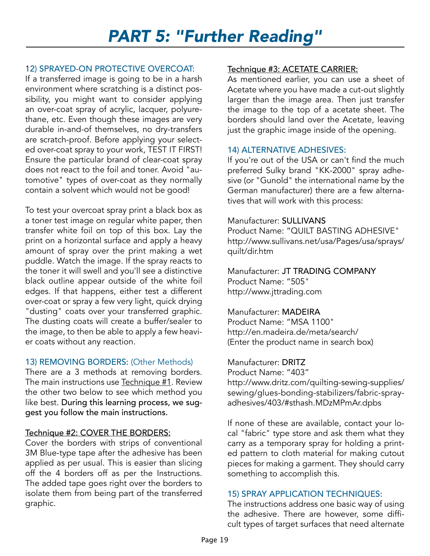## 12) SPRAYED-ON PROTECTIVE OVERCOAT:

If a transferred image is going to be in a harsh environment where scratching is a distinct possibility, you might want to consider applying an over-coat spray of acrylic, lacquer, polyurethane, etc. Even though these images are very durable in-and-of themselves, no dry-transfers are scratch-proof. Before applying your selected over-coat spray to your work, TEST IT FIRST! Ensure the particular brand of clear-coat spray does not react to the foil and toner. Avoid "automotive" types of over-coat as they normally contain a solvent which would not be good!

To test your overcoat spray print a black box as a toner test image on regular white paper, then transfer white foil on top of this box. Lay the print on a horizontal surface and apply a heavy amount of spray over the print making a wet puddle. Watch the image. If the spray reacts to the toner it will swell and you'll see a distinctive black outline appear outside of the white foil edges. If that happens, either test a different over-coat or spray a few very light, quick drying "dusting" coats over your transferred graphic. The dusting coats will create a buffer/sealer to the image, to then be able to apply a few heavier coats without any reaction.

## 13) REMOVING BORDERS: (Other Methods)

There are a 3 methods at removing borders. The main instructions use Technique #1. Review the other two below to see which method you like best. During this learning process, we suggest you follow the main instructions.

## Technique #2: COVER THE BORDERS:

Cover the borders with strips of conventional 3M Blue-type tape after the adhesive has been applied as per usual. This is easier than slicing off the 4 borders off as per the Instructions. The added tape goes right over the borders to isolate them from being part of the transferred graphic.

## Technique #3: ACETATE CARRIER:

As mentioned earlier, you can use a sheet of Acetate where you have made a cut-out slightly larger than the image area. Then just transfer the image to the top of a acetate sheet. The borders should land over the Acetate, leaving just the graphic image inside of the opening.

### 14) ALTERNATIVE ADHESIVES:

If you're out of the USA or can't find the much preferred Sulky brand "KK-2000" spray adhesive (or "Gunold" the international name by the German manufacturer) there are a few alternatives that will work with this process:

#### Manufacturer: SULLIVANS

Product Name: "QUILT BASTING ADHESIVE" http://www.sullivans.net/usa/Pages/usa/sprays/ quilt/dir.htm

Manufacturer: JT TRADING COMPANY Product Name: "505" http://www.jttrading.com

#### Manufacturer: MADEIRA

Product Name: "MSA 1100" http://en.madeira.de/meta/search/ (Enter the product name in search box)

#### Manufacturer: DRITZ

Product Name: "403" http://www.dritz.com/quilting-sewing-supplies/ sewing/glues-bonding-stabilizers/fabric-sprayadhesives/403/#sthash.MDzMPmAr.dpbs

If none of these are available, contact your local "fabric" type store and ask them what they carry as a temporary spray for holding a printed pattern to cloth material for making cutout pieces for making a garment. They should carry something to accomplish this.

## 15) SPRAY APPLICATION TECHNIQUES:

The instructions address one basic way of using the adhesive. There are however, some difficult types of target surfaces that need alternate